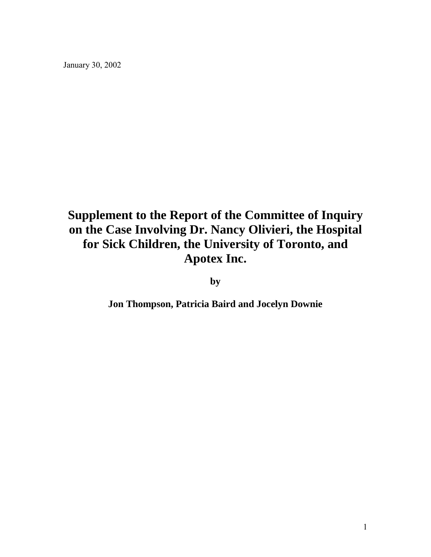January 30, 2002

# **Supplement to the Report of the Committee of Inquiry on the Case Involving Dr. Nancy Olivieri, the Hospital for Sick Children, the University of Toronto, and Apotex Inc.**

**by** 

**Jon Thompson, Patricia Baird and Jocelyn Downie**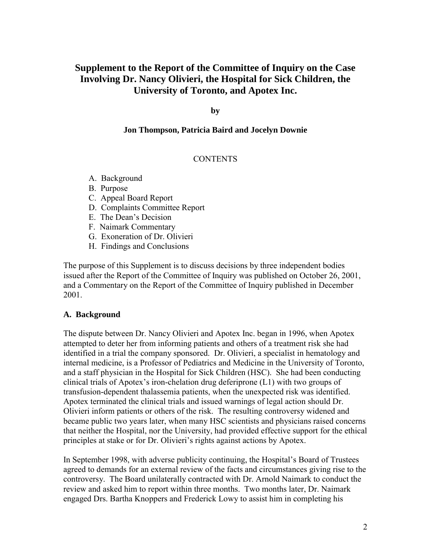# **Supplement to the Report of the Committee of Inquiry on the Case Involving Dr. Nancy Olivieri, the Hospital for Sick Children, the University of Toronto, and Apotex Inc.**

#### **by**

### **Jon Thompson, Patricia Baird and Jocelyn Downie**

## **CONTENTS**

- A. Background
- B. Purpose
- C. Appeal Board Report
- D. Complaints Committee Report
- E. The Dean's Decision
- F. Naimark Commentary
- G. Exoneration of Dr. Olivieri
- H. Findings and Conclusions

The purpose of this Supplement is to discuss decisions by three independent bodies issued after the Report of the Committee of Inquiry was published on October 26, 2001, and a Commentary on the Report of the Committee of Inquiry published in December 2001.

#### **A. Background**

The dispute between Dr. Nancy Olivieri and Apotex Inc. began in 1996, when Apotex attempted to deter her from informing patients and others of a treatment risk she had identified in a trial the company sponsored. Dr. Olivieri, a specialist in hematology and internal medicine, is a Professor of Pediatrics and Medicine in the University of Toronto, and a staff physician in the Hospital for Sick Children (HSC). She had been conducting clinical trials of Apotex's iron-chelation drug deferiprone (L1) with two groups of transfusion-dependent thalassemia patients, when the unexpected risk was identified. Apotex terminated the clinical trials and issued warnings of legal action should Dr. Olivieri inform patients or others of the risk. The resulting controversy widened and became public two years later, when many HSC scientists and physicians raised concerns that neither the Hospital, nor the University, had provided effective support for the ethical principles at stake or for Dr. Olivieri's rights against actions by Apotex.

In September 1998, with adverse publicity continuing, the Hospital's Board of Trustees agreed to demands for an external review of the facts and circumstances giving rise to the controversy. The Board unilaterally contracted with Dr. Arnold Naimark to conduct the review and asked him to report within three months. Two months later, Dr. Naimark engaged Drs. Bartha Knoppers and Frederick Lowy to assist him in completing his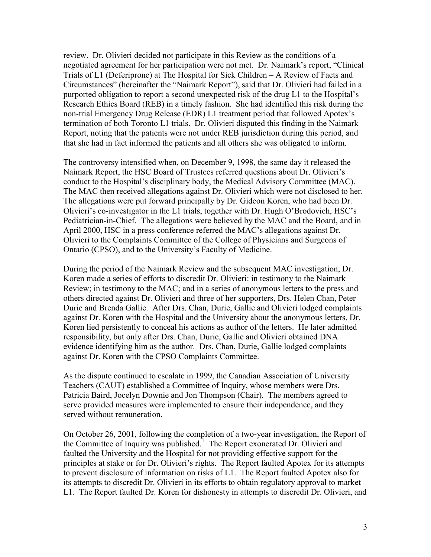review. Dr. Olivieri decided not participate in this Review as the conditions of a negotiated agreement for her participation were not met. Dr. Naimark's report, "Clinical Trials of L1 (Deferiprone) at The Hospital for Sick Children – A Review of Facts and Circumstances" (hereinafter the "Naimark Report"), said that Dr. Olivieri had failed in a purported obligation to report a second unexpected risk of the drug L1 to the Hospital's Research Ethics Board (REB) in a timely fashion. She had identified this risk during the non-trial Emergency Drug Release (EDR) L1 treatment period that followed Apotex's termination of both Toronto L1 trials. Dr. Olivieri disputed this finding in the Naimark Report, noting that the patients were not under REB jurisdiction during this period, and that she had in fact informed the patients and all others she was obligated to inform.

The controversy intensified when, on December 9, 1998, the same day it released the Naimark Report, the HSC Board of Trustees referred questions about Dr. Olivieri's conduct to the Hospital's disciplinary body, the Medical Advisory Committee (MAC). The MAC then received allegations against Dr. Olivieri which were not disclosed to her. The allegations were put forward principally by Dr. Gideon Koren, who had been Dr. Olivieri's co-investigator in the L1 trials, together with Dr. Hugh O'Brodovich, HSC's Pediatrician-in-Chief. The allegations were believed by the MAC and the Board, and in April 2000, HSC in a press conference referred the MAC's allegations against Dr. Olivieri to the Complaints Committee of the College of Physicians and Surgeons of Ontario (CPSO), and to the University's Faculty of Medicine.

During the period of the Naimark Review and the subsequent MAC investigation, Dr. Koren made a series of efforts to discredit Dr. Olivieri: in testimony to the Naimark Review; in testimony to the MAC; and in a series of anonymous letters to the press and others directed against Dr. Olivieri and three of her supporters, Drs. Helen Chan, Peter Durie and Brenda Gallie. After Drs. Chan, Durie, Gallie and Olivieri lodged complaints against Dr. Koren with the Hospital and the University about the anonymous letters, Dr. Koren lied persistently to conceal his actions as author of the letters. He later admitted responsibility, but only after Drs. Chan, Durie, Gallie and Olivieri obtained DNA evidence identifying him as the author. Drs. Chan, Durie, Gallie lodged complaints against Dr. Koren with the CPSO Complaints Committee.

As the dispute continued to escalate in 1999, the Canadian Association of University Teachers (CAUT) established a Committee of Inquiry, whose members were Drs. Patricia Baird, Jocelyn Downie and Jon Thompson (Chair). The members agreed to serve provided measures were implemented to ensure their independence, and they served without remuneration.

On October 26, 2001, following the completion of a two-year investigation, the Report of the Committee of Inquiry was published.<sup>1</sup> The Report exonerated Dr. Olivieri and faulted the University and the Hospital for not providing effective support for the principles at stake or for Dr. Olivieri's rights. The Report faulted Apotex for its attempts to prevent disclosure of information on risks of L1. The Report faulted Apotex also for its attempts to discredit Dr. Olivieri in its efforts to obtain regulatory approval to market L1. The Report faulted Dr. Koren for dishonesty in attempts to discredit Dr. Olivieri, and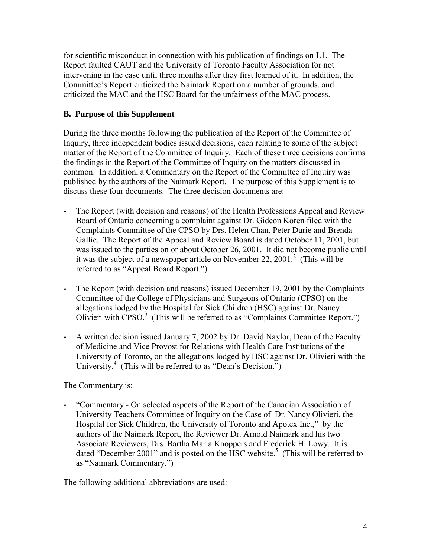for scientific misconduct in connection with his publication of findings on L1. The Report faulted CAUT and the University of Toronto Faculty Association for not intervening in the case until three months after they first learned of it. In addition, the Committee's Report criticized the Naimark Report on a number of grounds, and criticized the MAC and the HSC Board for the unfairness of the MAC process.

# **B. Purpose of this Supplement**

During the three months following the publication of the Report of the Committee of Inquiry, three independent bodies issued decisions, each relating to some of the subject matter of the Report of the Committee of Inquiry. Each of these three decisions confirms the findings in the Report of the Committee of Inquiry on the matters discussed in common. In addition, a Commentary on the Report of the Committee of Inquiry was published by the authors of the Naimark Report. The purpose of this Supplement is to discuss these four documents. The three decision documents are:

- The Report (with decision and reasons) of the Health Professions Appeal and Review Board of Ontario concerning a complaint against Dr. Gideon Koren filed with the Complaints Committee of the CPSO by Drs. Helen Chan, Peter Durie and Brenda Gallie. The Report of the Appeal and Review Board is dated October 11, 2001, but was issued to the parties on or about October 26, 2001. It did not become public until it was the subject of a newspaper article on November 22, 2001.<sup>2</sup> (This will be referred to as "Appeal Board Report.")
- The Report (with decision and reasons) issued December 19, 2001 by the Complaints Committee of the College of Physicians and Surgeons of Ontario (CPSO) on the allegations lodged by the Hospital for Sick Children (HSC) against Dr. Nancy Olivieri with  $CPSO<sup>3</sup>$  (This will be referred to as "Complaints Committee Report.")
- A written decision issued January 7, 2002 by Dr. David Naylor, Dean of the Faculty of Medicine and Vice Provost for Relations with Health Care Institutions of the University of Toronto, on the allegations lodged by HSC against Dr. Olivieri with the University.<sup>4</sup> (This will be referred to as "Dean's Decision.")

The Commentary is:

• "Commentary - On selected aspects of the Report of the Canadian Association of University Teachers Committee of Inquiry on the Case of Dr. Nancy Olivieri, the Hospital for Sick Children, the University of Toronto and Apotex Inc.," by the authors of the Naimark Report, the Reviewer Dr. Arnold Naimark and his two Associate Reviewers, Drs. Bartha Maria Knoppers and Frederick H. Lowy. It is dated "December 2001" and is posted on the HSC website.<sup>5</sup> (This will be referred to as "Naimark Commentary.")

The following additional abbreviations are used: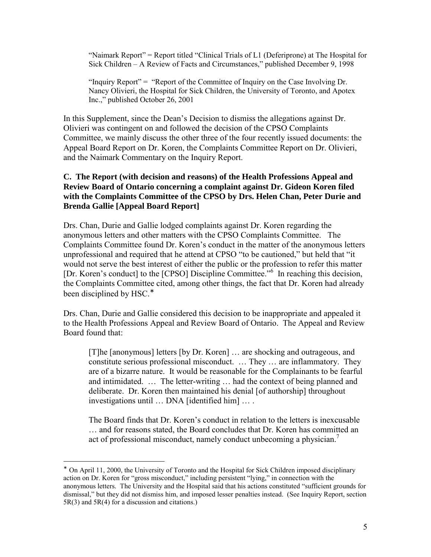"Naimark Report" = Report titled "Clinical Trials of L1 (Deferiprone) at The Hospital for Sick Children – A Review of Facts and Circumstances," published December 9, 1998

"Inquiry Report" = "Report of the Committee of Inquiry on the Case Involving Dr. Nancy Olivieri, the Hospital for Sick Children, the University of Toronto, and Apotex Inc.," published October 26, 2001

In this Supplement, since the Dean's Decision to dismiss the allegations against Dr. Olivieri was contingent on and followed the decision of the CPSO Complaints Committee, we mainly discuss the other three of the four recently issued documents: the Appeal Board Report on Dr. Koren, the Complaints Committee Report on Dr. Olivieri, and the Naimark Commentary on the Inquiry Report.

## **C. The Report (with decision and reasons) of the Health Professions Appeal and Review Board of Ontario concerning a complaint against Dr. Gideon Koren filed with the Complaints Committee of the CPSO by Drs. Helen Chan, Peter Durie and Brenda Gallie [Appeal Board Report]**

Drs. Chan, Durie and Gallie lodged complaints against Dr. Koren regarding the anonymous letters and other matters with the CPSO Complaints Committee. The Complaints Committee found Dr. Koren's conduct in the matter of the anonymous letters unprofessional and required that he attend at CPSO "to be cautioned," but held that "it would not serve the best interest of either the public or the profession to refer this matter [Dr. Koren's conduct] to the [CPSO] Discipline Committee."<sup>6</sup> In reaching this decision, the Complaints Committee cited, among other things, the fact that Dr. Koren had already been disciplined by HSC.<sup>\*</sup>

Drs. Chan, Durie and Gallie considered this decision to be inappropriate and appealed it to the Health Professions Appeal and Review Board of Ontario. The Appeal and Review Board found that:

[T]he [anonymous] letters [by Dr. Koren] ... are shocking and outrageous, and constitute serious professional misconduct. … They … are inflammatory. They are of a bizarre nature. It would be reasonable for the Complainants to be fearful and intimidated. … The letter-writing … had the context of being planned and deliberate. Dr. Koren then maintained his denial [of authorship] throughout investigations until … DNA [identified him] … .

The Board finds that Dr. Koren's conduct in relation to the letters is inexcusable … and for reasons stated, the Board concludes that Dr. Koren has committed an act of professional misconduct, namely conduct unbecoming a physician.<sup>7</sup>

 $\overline{a}$ 

<sup>∗</sup> On April 11, 2000, the University of Toronto and the Hospital for Sick Children imposed disciplinary action on Dr. Koren for "gross misconduct," including persistent "lying," in connection with the anonymous letters. The University and the Hospital said that his actions constituted "sufficient grounds for dismissal," but they did not dismiss him, and imposed lesser penalties instead. (See Inquiry Report, section  $5R(3)$  and  $5R(4)$  for a discussion and citations.)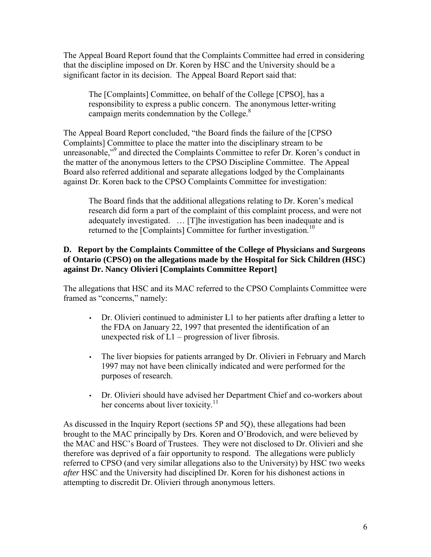The Appeal Board Report found that the Complaints Committee had erred in considering that the discipline imposed on Dr. Koren by HSC and the University should be a significant factor in its decision. The Appeal Board Report said that:

The [Complaints] Committee, on behalf of the College [CPSO], has a responsibility to express a public concern. The anonymous letter-writing campaign merits condemnation by the College.<sup>8</sup>

The Appeal Board Report concluded, "the Board finds the failure of the [CPSO Complaints] Committee to place the matter into the disciplinary stream to be unreasonable,"<sup>9</sup> and directed the Complaints Committee to refer Dr. Koren's conduct in the matter of the anonymous letters to the CPSO Discipline Committee. The Appeal Board also referred additional and separate allegations lodged by the Complainants against Dr. Koren back to the CPSO Complaints Committee for investigation:

The Board finds that the additional allegations relating to Dr. Koren's medical research did form a part of the complaint of this complaint process, and were not adequately investigated. … [T]he investigation has been inadequate and is returned to the [Complaints] Committee for further investigation.<sup>10</sup>

# **D. Report by the Complaints Committee of the College of Physicians and Surgeons of Ontario (CPSO) on the allegations made by the Hospital for Sick Children (HSC) against Dr. Nancy Olivieri [Complaints Committee Report]**

The allegations that HSC and its MAC referred to the CPSO Complaints Committee were framed as "concerns," namely:

- Dr. Olivieri continued to administer L1 to her patients after drafting a letter to the FDA on January 22, 1997 that presented the identification of an unexpected risk of  $L1$  – progression of liver fibrosis.
- The liver biopsies for patients arranged by Dr. Olivieri in February and March 1997 may not have been clinically indicated and were performed for the purposes of research.
- Dr. Olivieri should have advised her Department Chief and co-workers about her concerns about liver toxicity. $11$

As discussed in the Inquiry Report (sections 5P and 5Q), these allegations had been brought to the MAC principally by Drs. Koren and O'Brodovich, and were believed by the MAC and HSC's Board of Trustees. They were not disclosed to Dr. Olivieri and she therefore was deprived of a fair opportunity to respond. The allegations were publicly referred to CPSO (and very similar allegations also to the University) by HSC two weeks *after* HSC and the University had disciplined Dr. Koren for his dishonest actions in attempting to discredit Dr. Olivieri through anonymous letters.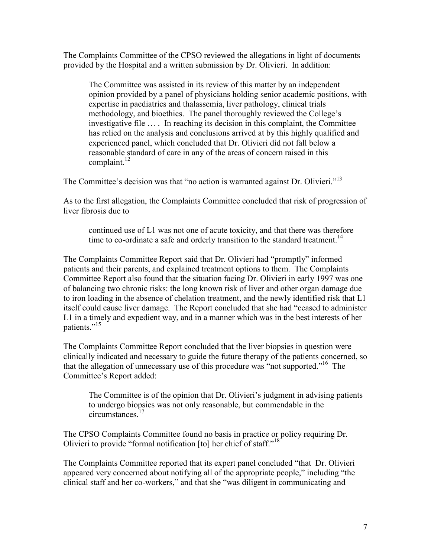The Complaints Committee of the CPSO reviewed the allegations in light of documents provided by the Hospital and a written submission by Dr. Olivieri. In addition:

The Committee was assisted in its review of this matter by an independent opinion provided by a panel of physicians holding senior academic positions, with expertise in paediatrics and thalassemia, liver pathology, clinical trials methodology, and bioethics. The panel thoroughly reviewed the College's investigative file … . In reaching its decision in this complaint, the Committee has relied on the analysis and conclusions arrived at by this highly qualified and experienced panel, which concluded that Dr. Olivieri did not fall below a reasonable standard of care in any of the areas of concern raised in this complaint. $^{12}$ 

The Committee's decision was that "no action is warranted against Dr. Olivieri."<sup>13</sup>

As to the first allegation, the Complaints Committee concluded that risk of progression of liver fibrosis due to

continued use of L1 was not one of acute toxicity, and that there was therefore time to co-ordinate a safe and orderly transition to the standard treatment.<sup>14</sup>

The Complaints Committee Report said that Dr. Olivieri had "promptly" informed patients and their parents, and explained treatment options to them. The Complaints Committee Report also found that the situation facing Dr. Olivieri in early 1997 was one of balancing two chronic risks: the long known risk of liver and other organ damage due to iron loading in the absence of chelation treatment, and the newly identified risk that L1 itself could cause liver damage. The Report concluded that she had "ceased to administer L1 in a timely and expedient way, and in a manner which was in the best interests of her patients."<sup>15</sup>

The Complaints Committee Report concluded that the liver biopsies in question were clinically indicated and necessary to guide the future therapy of the patients concerned, so that the allegation of unnecessary use of this procedure was "not supported."<sup>16</sup> The Committee's Report added:

The Committee is of the opinion that Dr. Olivieri's judgment in advising patients to undergo biopsies was not only reasonable, but commendable in the circumstances<sup>17</sup>

The CPSO Complaints Committee found no basis in practice or policy requiring Dr. Olivieri to provide "formal notification [to] her chief of staff."18

The Complaints Committee reported that its expert panel concluded "that Dr. Olivieri appeared very concerned about notifying all of the appropriate people," including "the clinical staff and her co-workers," and that she "was diligent in communicating and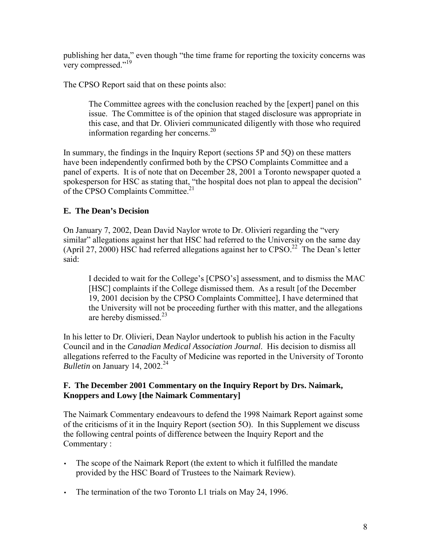publishing her data," even though "the time frame for reporting the toxicity concerns was very compressed."<sup>19</sup>

The CPSO Report said that on these points also:

The Committee agrees with the conclusion reached by the [expert] panel on this issue. The Committee is of the opinion that staged disclosure was appropriate in this case, and that Dr. Olivieri communicated diligently with those who required information regarding her concerns. $^{20}$ 

In summary, the findings in the Inquiry Report (sections 5P and 5Q) on these matters have been independently confirmed both by the CPSO Complaints Committee and a panel of experts. It is of note that on December 28, 2001 a Toronto newspaper quoted a spokesperson for HSC as stating that, "the hospital does not plan to appeal the decision" of the CPSO Complaints Committee.<sup>21</sup>

# **E. The Dean's Decision**

On January 7, 2002, Dean David Naylor wrote to Dr. Olivieri regarding the "very similar" allegations against her that HSC had referred to the University on the same day (April 27, 2000) HSC had referred allegations against her to  $CPSO<sup>22</sup>$  The Dean's letter said:

I decided to wait for the College's [CPSO's] assessment, and to dismiss the MAC [HSC] complaints if the College dismissed them. As a result [of the December 19, 2001 decision by the CPSO Complaints Committee], I have determined that the University will not be proceeding further with this matter, and the allegations are hereby dismissed. $^{23}$ 

In his letter to Dr. Olivieri, Dean Naylor undertook to publish his action in the Faculty Council and in the *Canadian Medical Association Journal*. His decision to dismiss all allegations referred to the Faculty of Medicine was reported in the University of Toronto *Bulletin* on January 14, 2002.<sup>24</sup>

# **F. The December 2001 Commentary on the Inquiry Report by Drs. Naimark, Knoppers and Lowy [the Naimark Commentary]**

The Naimark Commentary endeavours to defend the 1998 Naimark Report against some of the criticisms of it in the Inquiry Report (section 5O). In this Supplement we discuss the following central points of difference between the Inquiry Report and the Commentary :

- The scope of the Naimark Report (the extent to which it fulfilled the mandate provided by the HSC Board of Trustees to the Naimark Review).
- The termination of the two Toronto L1 trials on May 24, 1996.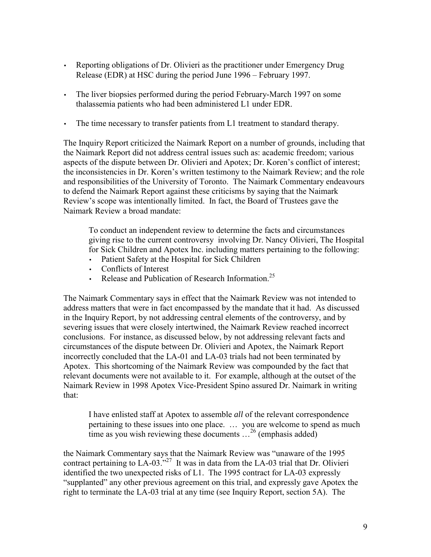- Reporting obligations of Dr. Olivieri as the practitioner under Emergency Drug Release (EDR) at HSC during the period June 1996 – February 1997.
- The liver biopsies performed during the period February-March 1997 on some thalassemia patients who had been administered L1 under EDR.
- The time necessary to transfer patients from L1 treatment to standard therapy.

The Inquiry Report criticized the Naimark Report on a number of grounds, including that the Naimark Report did not address central issues such as: academic freedom; various aspects of the dispute between Dr. Olivieri and Apotex; Dr. Koren's conflict of interest; the inconsistencies in Dr. Koren's written testimony to the Naimark Review; and the role and responsibilities of the University of Toronto. The Naimark Commentary endeavours to defend the Naimark Report against these criticisms by saying that the Naimark Review's scope was intentionally limited. In fact, the Board of Trustees gave the Naimark Review a broad mandate:

To conduct an independent review to determine the facts and circumstances giving rise to the current controversy involving Dr. Nancy Olivieri, The Hospital for Sick Children and Apotex Inc. including matters pertaining to the following:

- Patient Safety at the Hospital for Sick Children
- Conflicts of Interest
- Release and Publication of Research Information.<sup>25</sup>

The Naimark Commentary says in effect that the Naimark Review was not intended to address matters that were in fact encompassed by the mandate that it had. As discussed in the Inquiry Report, by not addressing central elements of the controversy, and by severing issues that were closely intertwined, the Naimark Review reached incorrect conclusions. For instance, as discussed below, by not addressing relevant facts and circumstances of the dispute between Dr. Olivieri and Apotex, the Naimark Report incorrectly concluded that the LA-01 and LA-03 trials had not been terminated by Apotex. This shortcoming of the Naimark Review was compounded by the fact that relevant documents were not available to it. For example, although at the outset of the Naimark Review in 1998 Apotex Vice-President Spino assured Dr. Naimark in writing that:

I have enlisted staff at Apotex to assemble *all* of the relevant correspondence pertaining to these issues into one place. … you are welcome to spend as much time as you wish reviewing these documents  $\ldots^{26}$  (emphasis added)

the Naimark Commentary says that the Naimark Review was "unaware of the 1995 contract pertaining to  $LA-03.^{27}$  It was in data from the LA-03 trial that Dr. Olivieri identified the two unexpected risks of L1. The 1995 contract for LA-03 expressly "supplanted" any other previous agreement on this trial, and expressly gave Apotex the right to terminate the LA-03 trial at any time (see Inquiry Report, section 5A). The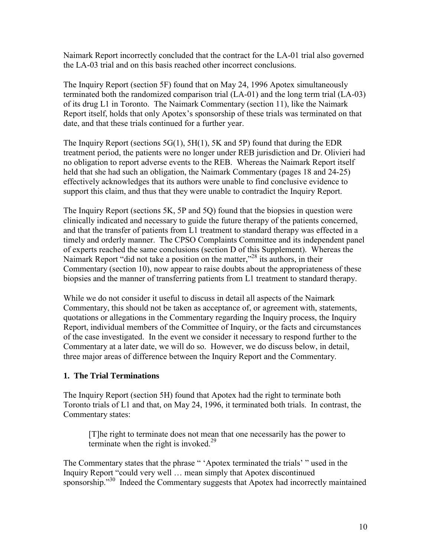Naimark Report incorrectly concluded that the contract for the LA-01 trial also governed the LA-03 trial and on this basis reached other incorrect conclusions.

The Inquiry Report (section 5F) found that on May 24, 1996 Apotex simultaneously terminated both the randomized comparison trial (LA-01) and the long term trial (LA-03) of its drug L1 in Toronto. The Naimark Commentary (section 11), like the Naimark Report itself, holds that only Apotex's sponsorship of these trials was terminated on that date, and that these trials continued for a further year.

The Inquiry Report (sections  $5G(1)$ ,  $5H(1)$ ,  $5K$  and  $5P$ ) found that during the EDR treatment period, the patients were no longer under REB jurisdiction and Dr. Olivieri had no obligation to report adverse events to the REB. Whereas the Naimark Report itself held that she had such an obligation, the Naimark Commentary (pages 18 and 24-25) effectively acknowledges that its authors were unable to find conclusive evidence to support this claim, and thus that they were unable to contradict the Inquiry Report.

The Inquiry Report (sections 5K, 5P and 5Q) found that the biopsies in question were clinically indicated and necessary to guide the future therapy of the patients concerned, and that the transfer of patients from L1 treatment to standard therapy was effected in a timely and orderly manner. The CPSO Complaints Committee and its independent panel of experts reached the same conclusions (section D of this Supplement). Whereas the Naimark Report "did not take a position on the matter,"<sup>28</sup> its authors, in their Commentary (section 10), now appear to raise doubts about the appropriateness of these biopsies and the manner of transferring patients from L1 treatment to standard therapy.

While we do not consider it useful to discuss in detail all aspects of the Naimark Commentary, this should not be taken as acceptance of, or agreement with, statements, quotations or allegations in the Commentary regarding the Inquiry process, the Inquiry Report, individual members of the Committee of Inquiry, or the facts and circumstances of the case investigated. In the event we consider it necessary to respond further to the Commentary at a later date, we will do so. However, we do discuss below, in detail, three major areas of difference between the Inquiry Report and the Commentary.

# **1. The Trial Terminations**

The Inquiry Report (section 5H) found that Apotex had the right to terminate both Toronto trials of L1 and that, on May 24, 1996, it terminated both trials. In contrast, the Commentary states:

[T]he right to terminate does not mean that one necessarily has the power to terminate when the right is invoked. $29$ 

The Commentary states that the phrase " 'Apotex terminated the trials' " used in the Inquiry Report "could very well … mean simply that Apotex discontinued sponsorship."<sup>30</sup> Indeed the Commentary suggests that Apotex had incorrectly maintained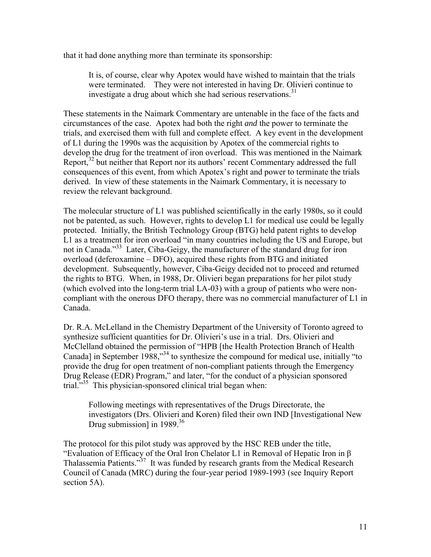that it had done anything more than terminate its sponsorship:

It is, of course, clear why Apotex would have wished to maintain that the trials were terminated. They were not interested in having Dr. Olivieri continue to investigate a drug about which she had serious reservations.<sup>31</sup>

These statements in the Naimark Commentary are untenable in the face of the facts and circumstances of the case. Apotex had both the right *and* the power to terminate the trials, and exercised them with full and complete effect. A key event in the development of L1 during the 1990s was the acquisition by Apotex of the commercial rights to develop the drug for the treatment of iron overload. This was mentioned in the Naimark Report, $32$  but neither that Report nor its authors' recent Commentary addressed the full consequences of this event, from which Apotex's right and power to terminate the trials derived. In view of these statements in the Naimark Commentary, it is necessary to review the relevant background.

The molecular structure of L1 was published scientifically in the early 1980s, so it could not be patented, as such. However, rights to develop L1 for medical use could be legally protected. Initially, the British Technology Group (BTG) held patent rights to develop L1 as a treatment for iron overload "in many countries including the US and Europe, but not in Canada."<sup>33</sup> Later, Ciba-Geigy, the manufacturer of the standard drug for iron overload (deferoxamine – DFO), acquired these rights from BTG and initiated development. Subsequently, however, Ciba-Geigy decided not to proceed and returned the rights to BTG. When, in 1988, Dr. Olivieri began preparations for her pilot study (which evolved into the long-term trial LA-03) with a group of patients who were noncompliant with the onerous DFO therapy, there was no commercial manufacturer of L1 in Canada.

Dr. R.A. McLelland in the Chemistry Department of the University of Toronto agreed to synthesize sufficient quantities for Dr. Olivieri's use in a trial. Drs. Olivieri and McClelland obtained the permission of "HPB [the Health Protection Branch of Health Canada] in September 1988,<sup>334</sup> to synthesize the compound for medical use, initially "to provide the drug for open treatment of non-compliant patients through the Emergency Drug Release (EDR) Program," and later, "for the conduct of a physician sponsored trial."<sup>35</sup> This physician-sponsored clinical trial began when:

Following meetings with representatives of the Drugs Directorate, the investigators (Drs. Olivieri and Koren) filed their own IND [Investigational New Drug submission] in  $1989$ <sup>36</sup>

The protocol for this pilot study was approved by the HSC REB under the title, "Evaluation of Efficacy of the Oral Iron Chelator L1 in Removal of Hepatic Iron in β Thalassemia Patients."37 It was funded by research grants from the Medical Research Council of Canada (MRC) during the four-year period 1989-1993 (see Inquiry Report section 5A).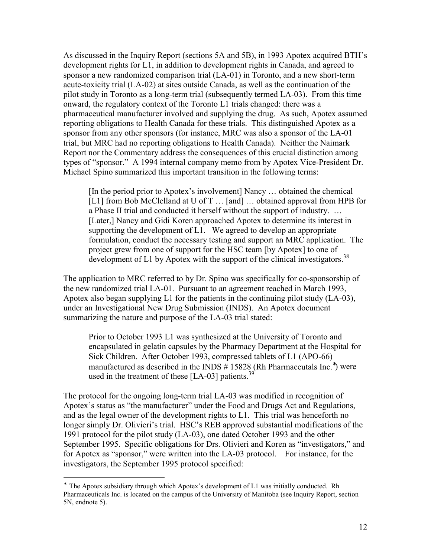As discussed in the Inquiry Report (sections 5A and 5B), in 1993 Apotex acquired BTH's development rights for L1, in addition to development rights in Canada, and agreed to sponsor a new randomized comparison trial (LA-01) in Toronto, and a new short-term acute-toxicity trial (LA-02) at sites outside Canada, as well as the continuation of the pilot study in Toronto as a long-term trial (subsequently termed LA-03). From this time onward, the regulatory context of the Toronto L1 trials changed: there was a pharmaceutical manufacturer involved and supplying the drug. As such, Apotex assumed reporting obligations to Health Canada for these trials. This distinguished Apotex as a sponsor from any other sponsors (for instance, MRC was also a sponsor of the LA-01 trial, but MRC had no reporting obligations to Health Canada). Neither the Naimark Report nor the Commentary address the consequences of this crucial distinction among types of "sponsor." A 1994 internal company memo from by Apotex Vice-President Dr. Michael Spino summarized this important transition in the following terms:

[In the period prior to Apotex's involvement] Nancy … obtained the chemical [L1] from Bob McClelland at U of T ... [and] ... obtained approval from HPB for a Phase II trial and conducted it herself without the support of industry. … [Later,] Nancy and Gidi Koren approached Apotex to determine its interest in supporting the development of L1. We agreed to develop an appropriate formulation, conduct the necessary testing and support an MRC application. The project grew from one of support for the HSC team [by Apotex] to one of development of L1 by Apotex with the support of the clinical investigators.<sup>38</sup>

The application to MRC referred to by Dr. Spino was specifically for co-sponsorship of the new randomized trial LA-01. Pursuant to an agreement reached in March 1993, Apotex also began supplying L1 for the patients in the continuing pilot study (LA-03), under an Investigational New Drug Submission (INDS). An Apotex document summarizing the nature and purpose of the LA-03 trial stated:

Prior to October 1993 L1 was synthesized at the University of Toronto and encapsulated in gelatin capsules by the Pharmacy Department at the Hospital for Sick Children. After October 1993, compressed tablets of L1 (APO-66) manufactured as described in the INDS # 15828 (Rh Pharmaceutals Inc.<sup>\*</sup>) were used in the treatment of these  $[LA-03]$  patients.<sup>39</sup>

The protocol for the ongoing long-term trial LA-03 was modified in recognition of Apotex's status as "the manufacturer" under the Food and Drugs Act and Regulations, and as the legal owner of the development rights to L1. This trial was henceforth no longer simply Dr. Olivieri's trial. HSC's REB approved substantial modifications of the 1991 protocol for the pilot study (LA-03), one dated October 1993 and the other September 1995. Specific obligations for Drs. Olivieri and Koren as "investigators," and for Apotex as "sponsor," were written into the LA-03 protocol. For instance, for the investigators, the September 1995 protocol specified:

 $\overline{a}$ 

<sup>∗</sup> The Apotex subsidiary through which Apotex's development of L1 was initially conducted. Rh Pharmaceuticals Inc. is located on the campus of the University of Manitoba (see Inquiry Report, section 5N, endnote 5).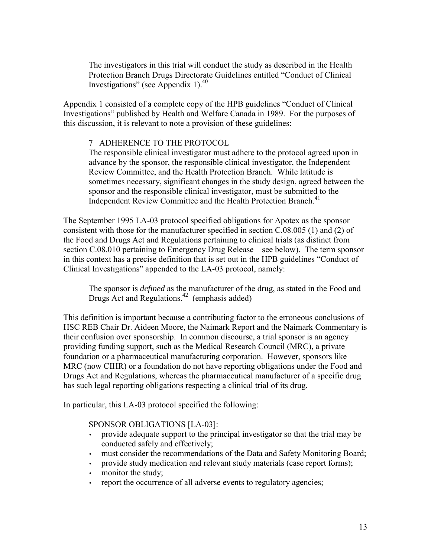The investigators in this trial will conduct the study as described in the Health Protection Branch Drugs Directorate Guidelines entitled "Conduct of Clinical Investigations" (see Appendix 1). $40$ 

Appendix 1 consisted of a complete copy of the HPB guidelines "Conduct of Clinical Investigations" published by Health and Welfare Canada in 1989. For the purposes of this discussion, it is relevant to note a provision of these guidelines:

## 7 ADHERENCE TO THE PROTOCOL

The responsible clinical investigator must adhere to the protocol agreed upon in advance by the sponsor, the responsible clinical investigator, the Independent Review Committee, and the Health Protection Branch. While latitude is sometimes necessary, significant changes in the study design, agreed between the sponsor and the responsible clinical investigator, must be submitted to the Independent Review Committee and the Health Protection Branch.<sup>41</sup>

The September 1995 LA-03 protocol specified obligations for Apotex as the sponsor consistent with those for the manufacturer specified in section C.08.005 (1) and (2) of the Food and Drugs Act and Regulations pertaining to clinical trials (as distinct from section C.08.010 pertaining to Emergency Drug Release – see below). The term sponsor in this context has a precise definition that is set out in the HPB guidelines "Conduct of Clinical Investigations" appended to the LA-03 protocol, namely:

The sponsor is *defined* as the manufacturer of the drug, as stated in the Food and Drugs Act and Regulations.<sup>42</sup> (emphasis added)

This definition is important because a contributing factor to the erroneous conclusions of HSC REB Chair Dr. Aideen Moore, the Naimark Report and the Naimark Commentary is their confusion over sponsorship. In common discourse, a trial sponsor is an agency providing funding support, such as the Medical Research Council (MRC), a private foundation or a pharmaceutical manufacturing corporation. However, sponsors like MRC (now CIHR) or a foundation do not have reporting obligations under the Food and Drugs Act and Regulations, whereas the pharmaceutical manufacturer of a specific drug has such legal reporting obligations respecting a clinical trial of its drug.

In particular, this LA-03 protocol specified the following:

## SPONSOR OBLIGATIONS [LA-03]:

- provide adequate support to the principal investigator so that the trial may be conducted safely and effectively;
- must consider the recommendations of the Data and Safety Monitoring Board;
- provide study medication and relevant study materials (case report forms);
- monitor the study;
- report the occurrence of all adverse events to regulatory agencies;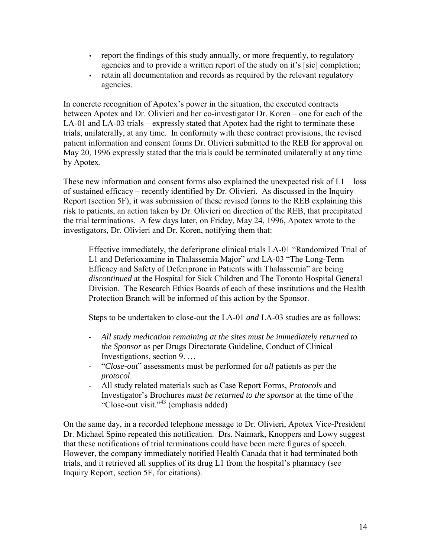- report the findings of this study annually, or more frequently, to regulatory agencies and to provide a written report of the study on it's [sic] completion;
- retain all documentation and records as required by the relevant regulatory agencies.

In concrete recognition of Apotex's power in the situation, the executed contracts between Apotex and Dr. Olivieri and her co-investigator Dr. Koren – one for each of the LA-01 and LA-03 trials – expressly stated that Apotex had the right to terminate these trials, unilaterally, at any time. In conformity with these contract provisions, the revised patient information and consent forms Dr. Olivieri submitted to the REB for approval on May 20, 1996 expressly stated that the trials could be terminated unilaterally at any time by Apotex.

These new information and consent forms also explained the unexpected risk of  $L1 - loss$ of sustained efficacy – recently identified by Dr. Olivieri. As discussed in the Inquiry Report (section 5F), it was submission of these revised forms to the REB explaining this risk to patients, an action taken by Dr. Olivieri on direction of the REB, that precipitated the trial terminations. A few days later, on Friday, May 24, 1996, Apotex wrote to the investigators, Dr. Olivieri and Dr. Koren, notifying them that:

Effective immediately, the deferiprone clinical trials LA-01 "Randomized Trial of L1 and Deferioxamine in Thalassemia Major" *and* LA-03 "The Long-Term Efficacy and Safety of Deferiprone in Patients with Thalassemia" are being *discontinued* at the Hospital for Sick Children and The Toronto Hospital General Division. The Research Ethics Boards of each of these institutions and the Health Protection Branch will be informed of this action by the Sponsor.

Steps to be undertaken to close-out the LA-01 *and* LA-03 studies are as follows:

- *All study medication remaining at the sites must be immediately returned to the Sponsor* as per Drugs Directorate Guideline, Conduct of Clinical Investigations, section 9. …
- "*Close-out*" assessments must be performed for *all* patients as per the *protocol*.
- All study related materials such as Case Report Forms, *Protocols* and Investigator's Brochures *must be returned to the sponsor* at the time of the "Close-out visit." $43$  (emphasis added)

On the same day, in a recorded telephone message to Dr. Olivieri, Apotex Vice-President Dr. Michael Spino repeated this notification. Drs. Naimark, Knoppers and Lowy suggest that these notifications of trial terminations could have been mere figures of speech. However, the company immediately notified Health Canada that it had terminated both trials, and it retrieved all supplies of its drug L1 from the hospital's pharmacy (see Inquiry Report, section 5F, for citations).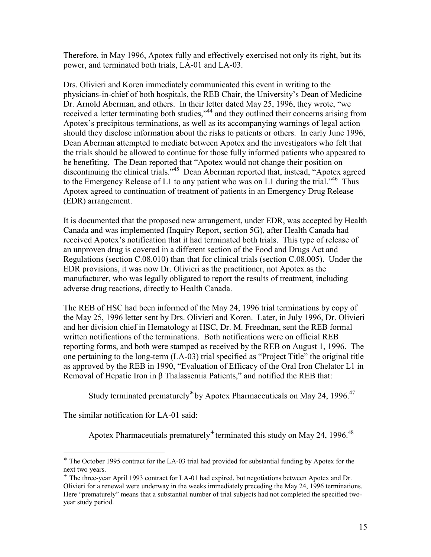Therefore, in May 1996, Apotex fully and effectively exercised not only its right, but its power, and terminated both trials, LA-01 and LA-03.

Drs. Olivieri and Koren immediately communicated this event in writing to the physicians-in-chief of both hospitals, the REB Chair, the University's Dean of Medicine Dr. Arnold Aberman, and others. In their letter dated May 25, 1996, they wrote, "we received a letter terminating both studies,"<sup>44</sup> and they outlined their concerns arising from Apotex's precipitous terminations, as well as its accompanying warnings of legal action should they disclose information about the risks to patients or others. In early June 1996, Dean Aberman attempted to mediate between Apotex and the investigators who felt that the trials should be allowed to continue for those fully informed patients who appeared to be benefiting. The Dean reported that "Apotex would not change their position on discontinuing the clinical trials."45 Dean Aberman reported that, instead, "Apotex agreed to the Emergency Release of L1 to any patient who was on L1 during the trial.<sup> $46$ </sup> Thus Apotex agreed to continuation of treatment of patients in an Emergency Drug Release (EDR) arrangement.

It is documented that the proposed new arrangement, under EDR, was accepted by Health Canada and was implemented (Inquiry Report, section 5G), after Health Canada had received Apotex's notification that it had terminated both trials. This type of release of an unproven drug is covered in a different section of the Food and Drugs Act and Regulations (section C.08.010) than that for clinical trials (section C.08.005). Under the EDR provisions, it was now Dr. Olivieri as the practitioner, not Apotex as the manufacturer, who was legally obligated to report the results of treatment, including adverse drug reactions, directly to Health Canada.

The REB of HSC had been informed of the May 24, 1996 trial terminations by copy of the May 25, 1996 letter sent by Drs. Olivieri and Koren. Later, in July 1996, Dr. Olivieri and her division chief in Hematology at HSC, Dr. M. Freedman, sent the REB formal written notifications of the terminations. Both notifications were on official REB reporting forms, and both were stamped as received by the REB on August 1, 1996. The one pertaining to the long-term (LA-03) trial specified as "Project Title" the original title as approved by the REB in 1990, "Evaluation of Efficacy of the Oral Iron Chelator L1 in Removal of Hepatic Iron in β Thalassemia Patients," and notified the REB that:

Study terminated prematurely<sup>\*</sup> by Apotex Pharmaceuticals on May 24, 1996.<sup>47</sup>

The similar notification for LA-01 said:

 $\overline{a}$ 

Apotex Pharmaceutials prematurely<sup>+</sup> terminated this study on May 24, 1996.<sup>48</sup>

<sup>∗</sup> The October 1995 contract for the LA-03 trial had provided for substantial funding by Apotex for the next two years.

<sup>+</sup> The three-year April 1993 contract for LA-01 had expired, but negotiations between Apotex and Dr. Olivieri for a renewal were underway in the weeks immediately preceding the May 24, 1996 terminations. Here "prematurely" means that a substantial number of trial subjects had not completed the specified twoyear study period.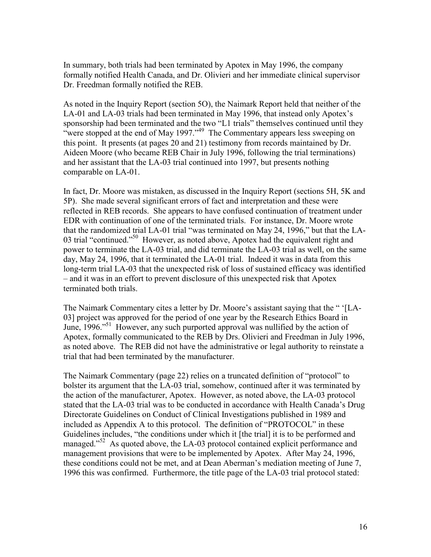In summary, both trials had been terminated by Apotex in May 1996, the company formally notified Health Canada, and Dr. Olivieri and her immediate clinical supervisor Dr. Freedman formally notified the REB.

As noted in the Inquiry Report (section 5O), the Naimark Report held that neither of the LA-01 and LA-03 trials had been terminated in May 1996, that instead only Apotex's sponsorship had been terminated and the two "L1 trials" themselves continued until they "were stopped at the end of May 1997."<sup>49</sup> The Commentary appears less sweeping on this point. It presents (at pages 20 and 21) testimony from records maintained by Dr. Aideen Moore (who became REB Chair in July 1996, following the trial terminations) and her assistant that the LA-03 trial continued into 1997, but presents nothing comparable on LA-01.

In fact, Dr. Moore was mistaken, as discussed in the Inquiry Report (sections 5H, 5K and 5P). She made several significant errors of fact and interpretation and these were reflected in REB records. She appears to have confused continuation of treatment under EDR with continuation of one of the terminated trials. For instance, Dr. Moore wrote that the randomized trial LA-01 trial "was terminated on May 24, 1996," but that the LA-03 trial "continued."<sup>50</sup> However, as noted above, Apotex had the equivalent right and power to terminate the LA-03 trial, and did terminate the LA-03 trial as well, on the same day, May 24, 1996, that it terminated the LA-01 trial. Indeed it was in data from this long-term trial LA-03 that the unexpected risk of loss of sustained efficacy was identified – and it was in an effort to prevent disclosure of this unexpected risk that Apotex terminated both trials.

The Naimark Commentary cites a letter by Dr. Moore's assistant saying that the " '[LA-03] project was approved for the period of one year by the Research Ethics Board in June, 1996."<sup>51</sup> However, any such purported approval was nullified by the action of Apotex, formally communicated to the REB by Drs. Olivieri and Freedman in July 1996, as noted above. The REB did not have the administrative or legal authority to reinstate a trial that had been terminated by the manufacturer.

The Naimark Commentary (page 22) relies on a truncated definition of "protocol" to bolster its argument that the LA-03 trial, somehow, continued after it was terminated by the action of the manufacturer, Apotex. However, as noted above, the LA-03 protocol stated that the LA-03 trial was to be conducted in accordance with Health Canada's Drug Directorate Guidelines on Conduct of Clinical Investigations published in 1989 and included as Appendix A to this protocol. The definition of "PROTOCOL" in these Guidelines includes, "the conditions under which it [the trial] it is to be performed and managed."<sup>52</sup> As quoted above, the LA-03 protocol contained explicit performance and management provisions that were to be implemented by Apotex. After May 24, 1996, these conditions could not be met, and at Dean Aberman's mediation meeting of June 7, 1996 this was confirmed. Furthermore, the title page of the LA-03 trial protocol stated: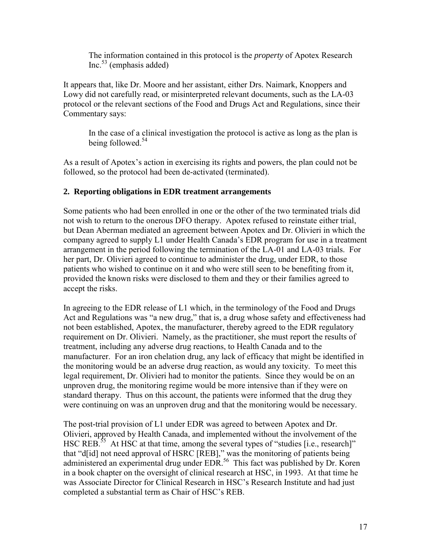The information contained in this protocol is the *property* of Apotex Research  $Inc<sup>53</sup>$  (emphasis added)

It appears that, like Dr. Moore and her assistant, either Drs. Naimark, Knoppers and Lowy did not carefully read, or misinterpreted relevant documents, such as the LA-03 protocol or the relevant sections of the Food and Drugs Act and Regulations, since their Commentary says:

In the case of a clinical investigation the protocol is active as long as the plan is being followed.<sup>54</sup>

As a result of Apotex's action in exercising its rights and powers, the plan could not be followed, so the protocol had been de-activated (terminated).

# **2. Reporting obligations in EDR treatment arrangements**

Some patients who had been enrolled in one or the other of the two terminated trials did not wish to return to the onerous DFO therapy. Apotex refused to reinstate either trial, but Dean Aberman mediated an agreement between Apotex and Dr. Olivieri in which the company agreed to supply L1 under Health Canada's EDR program for use in a treatment arrangement in the period following the termination of the LA-01 and LA-03 trials. For her part, Dr. Olivieri agreed to continue to administer the drug, under EDR, to those patients who wished to continue on it and who were still seen to be benefiting from it, provided the known risks were disclosed to them and they or their families agreed to accept the risks.

In agreeing to the EDR release of L1 which, in the terminology of the Food and Drugs Act and Regulations was "a new drug," that is, a drug whose safety and effectiveness had not been established, Apotex, the manufacturer, thereby agreed to the EDR regulatory requirement on Dr. Olivieri. Namely, as the practitioner, she must report the results of treatment, including any adverse drug reactions, to Health Canada and to the manufacturer. For an iron chelation drug, any lack of efficacy that might be identified in the monitoring would be an adverse drug reaction, as would any toxicity. To meet this legal requirement, Dr. Olivieri had to monitor the patients. Since they would be on an unproven drug, the monitoring regime would be more intensive than if they were on standard therapy. Thus on this account, the patients were informed that the drug they were continuing on was an unproven drug and that the monitoring would be necessary.

The post-trial provision of L1 under EDR was agreed to between Apotex and Dr. Olivieri, approved by Health Canada, and implemented without the involvement of the HSC REB.<sup>55</sup> At HSC at that time, among the several types of "studies [i.e., research]" that "d[id] not need approval of HSRC [REB]," was the monitoring of patients being administered an experimental drug under EDR.<sup>56</sup> This fact was published by Dr. Koren in a book chapter on the oversight of clinical research at HSC, in 1993. At that time he was Associate Director for Clinical Research in HSC's Research Institute and had just completed a substantial term as Chair of HSC's REB.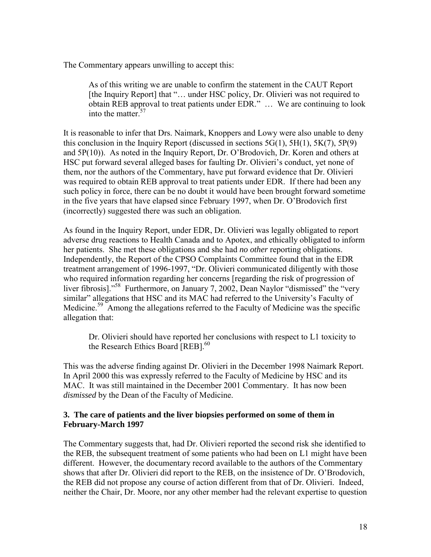The Commentary appears unwilling to accept this:

As of this writing we are unable to confirm the statement in the CAUT Report [the Inquiry Report] that "... under HSC policy, Dr. Olivieri was not required to obtain REB approval to treat patients under EDR." … We are continuing to look into the matter.<sup>57</sup>

It is reasonable to infer that Drs. Naimark, Knoppers and Lowy were also unable to deny this conclusion in the Inquiry Report (discussed in sections  $5G(1)$ ,  $5H(1)$ ,  $5K(7)$ ,  $5P(9)$ ) and 5P(10)). As noted in the Inquiry Report, Dr. O'Brodovich, Dr. Koren and others at HSC put forward several alleged bases for faulting Dr. Olivieri's conduct, yet none of them, nor the authors of the Commentary, have put forward evidence that Dr. Olivieri was required to obtain REB approval to treat patients under EDR. If there had been any such policy in force, there can be no doubt it would have been brought forward sometime in the five years that have elapsed since February 1997, when Dr. O'Brodovich first (incorrectly) suggested there was such an obligation.

As found in the Inquiry Report, under EDR, Dr. Olivieri was legally obligated to report adverse drug reactions to Health Canada and to Apotex, and ethically obligated to inform her patients. She met these obligations and she had *no other* reporting obligations. Independently, the Report of the CPSO Complaints Committee found that in the EDR treatment arrangement of 1996-1997, "Dr. Olivieri communicated diligently with those who required information regarding her concerns [regarding the risk of progression of liver fibrosis]."<sup>58</sup> Furthermore, on January 7, 2002, Dean Naylor "dismissed" the "very similar" allegations that HSC and its MAC had referred to the University's Faculty of Medicine.<sup>59</sup> Among the allegations referred to the Faculty of Medicine was the specific allegation that:

Dr. Olivieri should have reported her conclusions with respect to L1 toxicity to the Research Ethics Board [REB].<sup>60</sup>

This was the adverse finding against Dr. Olivieri in the December 1998 Naimark Report. In April 2000 this was expressly referred to the Faculty of Medicine by HSC and its MAC. It was still maintained in the December 2001 Commentary. It has now been *dismissed* by the Dean of the Faculty of Medicine.

## **3. The care of patients and the liver biopsies performed on some of them in February-March 1997**

The Commentary suggests that, had Dr. Olivieri reported the second risk she identified to the REB, the subsequent treatment of some patients who had been on L1 might have been different. However, the documentary record available to the authors of the Commentary shows that after Dr. Olivieri did report to the REB, on the insistence of Dr. O'Brodovich, the REB did not propose any course of action different from that of Dr. Olivieri. Indeed, neither the Chair, Dr. Moore, nor any other member had the relevant expertise to question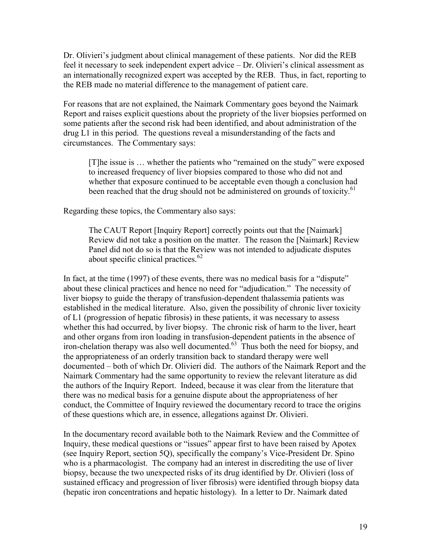Dr. Olivieri's judgment about clinical management of these patients. Nor did the REB feel it necessary to seek independent expert advice – Dr. Olivieri's clinical assessment as an internationally recognized expert was accepted by the REB. Thus, in fact, reporting to the REB made no material difference to the management of patient care.

For reasons that are not explained, the Naimark Commentary goes beyond the Naimark Report and raises explicit questions about the propriety of the liver biopsies performed on some patients after the second risk had been identified, and about administration of the drug L1 in this period. The questions reveal a misunderstanding of the facts and circumstances. The Commentary says:

[T]he issue is … whether the patients who "remained on the study" were exposed to increased frequency of liver biopsies compared to those who did not and whether that exposure continued to be acceptable even though a conclusion had been reached that the drug should not be administered on grounds of toxicity.<sup>61</sup>

Regarding these topics, the Commentary also says:

The CAUT Report [Inquiry Report] correctly points out that the [Naimark] Review did not take a position on the matter. The reason the [Naimark] Review Panel did not do so is that the Review was not intended to adjudicate disputes about specific clinical practices.<sup>62</sup>

In fact, at the time (1997) of these events, there was no medical basis for a "dispute" about these clinical practices and hence no need for "adjudication." The necessity of liver biopsy to guide the therapy of transfusion-dependent thalassemia patients was established in the medical literature. Also, given the possibility of chronic liver toxicity of L1 (progression of hepatic fibrosis) in these patients, it was necessary to assess whether this had occurred, by liver biopsy. The chronic risk of harm to the liver, heart and other organs from iron loading in transfusion-dependent patients in the absence of  $\frac{1}{2}$  iron-chelation therapy was also well documented.<sup>63</sup> Thus both the need for biopsy, and the appropriateness of an orderly transition back to standard therapy were well documented – both of which Dr. Olivieri did. The authors of the Naimark Report and the Naimark Commentary had the same opportunity to review the relevant literature as did the authors of the Inquiry Report. Indeed, because it was clear from the literature that there was no medical basis for a genuine dispute about the appropriateness of her conduct, the Committee of Inquiry reviewed the documentary record to trace the origins of these questions which are, in essence, allegations against Dr. Olivieri.

In the documentary record available both to the Naimark Review and the Committee of Inquiry, these medical questions or "issues" appear first to have been raised by Apotex (see Inquiry Report, section 5Q), specifically the company's Vice-President Dr. Spino who is a pharmacologist. The company had an interest in discrediting the use of liver biopsy, because the two unexpected risks of its drug identified by Dr. Olivieri (loss of sustained efficacy and progression of liver fibrosis) were identified through biopsy data (hepatic iron concentrations and hepatic histology). In a letter to Dr. Naimark dated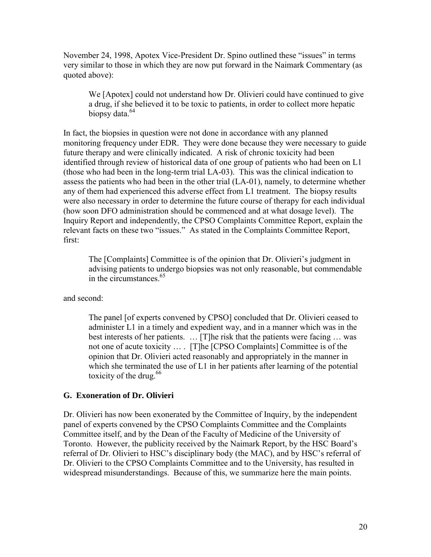November 24, 1998, Apotex Vice-President Dr. Spino outlined these "issues" in terms very similar to those in which they are now put forward in the Naimark Commentary (as quoted above):

We [Apotex] could not understand how Dr. Olivieri could have continued to give a drug, if she believed it to be toxic to patients, in order to collect more hepatic biopsy data.<sup>64</sup>

In fact, the biopsies in question were not done in accordance with any planned monitoring frequency under EDR. They were done because they were necessary to guide future therapy and were clinically indicated. A risk of chronic toxicity had been identified through review of historical data of one group of patients who had been on L1 (those who had been in the long-term trial LA-03). This was the clinical indication to assess the patients who had been in the other trial (LA-01), namely, to determine whether any of them had experienced this adverse effect from L1 treatment. The biopsy results were also necessary in order to determine the future course of therapy for each individual (how soon DFO administration should be commenced and at what dosage level). The Inquiry Report and independently, the CPSO Complaints Committee Report, explain the relevant facts on these two "issues." As stated in the Complaints Committee Report, first:

The [Complaints] Committee is of the opinion that Dr. Olivieri's judgment in advising patients to undergo biopsies was not only reasonable, but commendable in the circumstances.<sup>65</sup>

and second:

The panel [of experts convened by CPSO] concluded that Dr. Olivieri ceased to administer L1 in a timely and expedient way, and in a manner which was in the best interests of her patients. … [T]he risk that the patients were facing … was not one of acute toxicity … . [T]he [CPSO Complaints] Committee is of the opinion that Dr. Olivieri acted reasonably and appropriately in the manner in which she terminated the use of L1 in her patients after learning of the potential toxicity of the drug.  $66$ 

## **G. Exoneration of Dr. Olivieri**

Dr. Olivieri has now been exonerated by the Committee of Inquiry, by the independent panel of experts convened by the CPSO Complaints Committee and the Complaints Committee itself, and by the Dean of the Faculty of Medicine of the University of Toronto. However, the publicity received by the Naimark Report, by the HSC Board's referral of Dr. Olivieri to HSC's disciplinary body (the MAC), and by HSC's referral of Dr. Olivieri to the CPSO Complaints Committee and to the University, has resulted in widespread misunderstandings. Because of this, we summarize here the main points.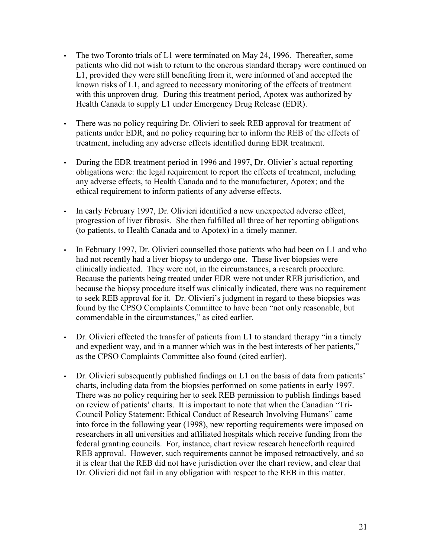- The two Toronto trials of L1 were terminated on May 24, 1996. Thereafter, some patients who did not wish to return to the onerous standard therapy were continued on L1, provided they were still benefiting from it, were informed of and accepted the known risks of L1, and agreed to necessary monitoring of the effects of treatment with this unproven drug. During this treatment period, Apotex was authorized by Health Canada to supply L1 under Emergency Drug Release (EDR).
- There was no policy requiring Dr. Olivieri to seek REB approval for treatment of patients under EDR, and no policy requiring her to inform the REB of the effects of treatment, including any adverse effects identified during EDR treatment.
- During the EDR treatment period in 1996 and 1997, Dr. Olivier's actual reporting obligations were: the legal requirement to report the effects of treatment, including any adverse effects, to Health Canada and to the manufacturer, Apotex; and the ethical requirement to inform patients of any adverse effects.
- In early February 1997, Dr. Olivieri identified a new unexpected adverse effect, progression of liver fibrosis. She then fulfilled all three of her reporting obligations (to patients, to Health Canada and to Apotex) in a timely manner.
- In February 1997, Dr. Olivieri counselled those patients who had been on L1 and who had not recently had a liver biopsy to undergo one. These liver biopsies were clinically indicated. They were not, in the circumstances, a research procedure. Because the patients being treated under EDR were not under REB jurisdiction, and because the biopsy procedure itself was clinically indicated, there was no requirement to seek REB approval for it. Dr. Olivieri's judgment in regard to these biopsies was found by the CPSO Complaints Committee to have been "not only reasonable, but commendable in the circumstances," as cited earlier.
- Dr. Olivieri effected the transfer of patients from L1 to standard therapy "in a timely" and expedient way, and in a manner which was in the best interests of her patients," as the CPSO Complaints Committee also found (cited earlier).
- Dr. Olivieri subsequently published findings on L1 on the basis of data from patients' charts, including data from the biopsies performed on some patients in early 1997. There was no policy requiring her to seek REB permission to publish findings based on review of patients' charts. It is important to note that when the Canadian "Tri-Council Policy Statement: Ethical Conduct of Research Involving Humans" came into force in the following year (1998), new reporting requirements were imposed on researchers in all universities and affiliated hospitals which receive funding from the federal granting councils. For, instance, chart review research henceforth required REB approval. However, such requirements cannot be imposed retroactively, and so it is clear that the REB did not have jurisdiction over the chart review, and clear that Dr. Olivieri did not fail in any obligation with respect to the REB in this matter.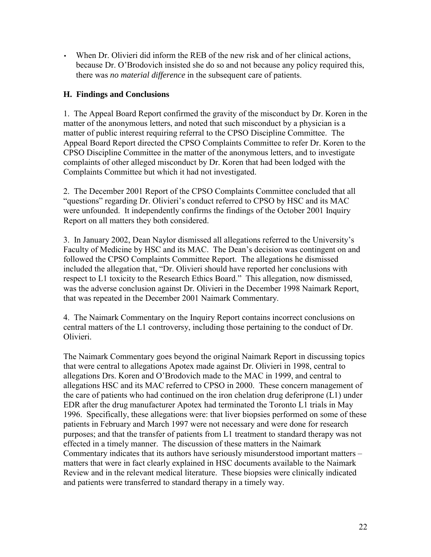• When Dr. Olivieri did inform the REB of the new risk and of her clinical actions, because Dr. O'Brodovich insisted she do so and not because any policy required this, there was *no material difference* in the subsequent care of patients.

# **H. Findings and Conclusions**

1. The Appeal Board Report confirmed the gravity of the misconduct by Dr. Koren in the matter of the anonymous letters, and noted that such misconduct by a physician is a matter of public interest requiring referral to the CPSO Discipline Committee. The Appeal Board Report directed the CPSO Complaints Committee to refer Dr. Koren to the CPSO Discipline Committee in the matter of the anonymous letters, and to investigate complaints of other alleged misconduct by Dr. Koren that had been lodged with the Complaints Committee but which it had not investigated.

2. The December 2001 Report of the CPSO Complaints Committee concluded that all "questions" regarding Dr. Olivieri's conduct referred to CPSO by HSC and its MAC were unfounded. It independently confirms the findings of the October 2001 Inquiry Report on all matters they both considered.

3. In January 2002, Dean Naylor dismissed all allegations referred to the University's Faculty of Medicine by HSC and its MAC. The Dean's decision was contingent on and followed the CPSO Complaints Committee Report. The allegations he dismissed included the allegation that, "Dr. Olivieri should have reported her conclusions with respect to L1 toxicity to the Research Ethics Board." This allegation, now dismissed, was the adverse conclusion against Dr. Olivieri in the December 1998 Naimark Report, that was repeated in the December 2001 Naimark Commentary.

4. The Naimark Commentary on the Inquiry Report contains incorrect conclusions on central matters of the L1 controversy, including those pertaining to the conduct of Dr. Olivieri.

The Naimark Commentary goes beyond the original Naimark Report in discussing topics that were central to allegations Apotex made against Dr. Olivieri in 1998, central to allegations Drs. Koren and O'Brodovich made to the MAC in 1999, and central to allegations HSC and its MAC referred to CPSO in 2000. These concern management of the care of patients who had continued on the iron chelation drug deferiprone (L1) under EDR after the drug manufacturer Apotex had terminated the Toronto L1 trials in May 1996. Specifically, these allegations were: that liver biopsies performed on some of these patients in February and March 1997 were not necessary and were done for research purposes; and that the transfer of patients from L1 treatment to standard therapy was not effected in a timely manner. The discussion of these matters in the Naimark Commentary indicates that its authors have seriously misunderstood important matters – matters that were in fact clearly explained in HSC documents available to the Naimark Review and in the relevant medical literature. These biopsies were clinically indicated and patients were transferred to standard therapy in a timely way.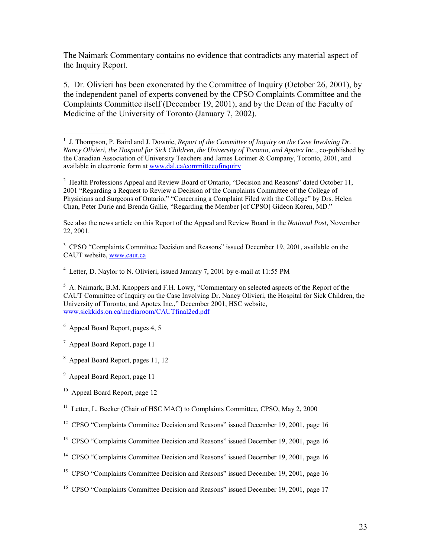The Naimark Commentary contains no evidence that contradicts any material aspect of the Inquiry Report.

5. Dr. Olivieri has been exonerated by the Committee of Inquiry (October 26, 2001), by the independent panel of experts convened by the CPSO Complaints Committee and the Complaints Committee itself (December 19, 2001), and by the Dean of the Faculty of Medicine of the University of Toronto (January 7, 2002).

See also the news article on this Report of the Appeal and Review Board in the *National Post*, November 22, 2001.

<sup>3</sup> CPSO "Complaints Committee Decision and Reasons" issued December 19, 2001, available on the CAUT website, [www.caut.ca](http://www.caut.ca)

<sup>4</sup> Letter, D. Naylor to N. Olivieri, issued January 7, 2001 by e-mail at 11:55 PM

<sup>5</sup> A. Naimark, B.M. Knoppers and F.H. Lowy, "Commentary on selected aspects of the Report of the CAUT Committee of Inquiry on the Case Involving Dr. Nancy Olivieri, the Hospital for Sick Children, the University of Toronto, and Apotex Inc.," December 2001, HSC website, [www.sickkids.on.ca/mediaroom/CAUTfinal2ed.pdf](http://www.sickkids.on.ca/mediaroom/CAUTfinal2ed.pdf)

6 Appeal Board Report, pages 4, 5

<sup>7</sup> Appeal Board Report, page 11

8 Appeal Board Report, pages 11, 12

<sup>9</sup> Appeal Board Report, page 11

<sup>10</sup> Appeal Board Report, page 12

<sup>11</sup> Letter, L. Becker (Chair of HSC MAC) to Complaints Committee, CPSO, May 2, 2000

<sup>12</sup> CPSO "Complaints Committee Decision and Reasons" issued December 19, 2001, page 16

<sup>13</sup> CPSO "Complaints Committee Decision and Reasons" issued December 19, 2001, page 16

- <sup>14</sup> CPSO "Complaints Committee Decision and Reasons" issued December 19, 2001, page 16
- <sup>15</sup> CPSO "Complaints Committee Decision and Reasons" issued December 19, 2001, page 16

<sup>16</sup> CPSO "Complaints Committee Decision and Reasons" issued December 19, 2001, page 17

 1 J. Thompson, P. Baird and J. Downie, *Report of the Committee of Inquiry on the Case Involving Dr. Nancy Olivieri, the Hospital for Sick Children, the University of Toronto, and Apotex Inc*., co-published by the Canadian Association of University Teachers and James Lorimer & Company, Toronto, 2001, and available in electronic form at [www.dal.ca/committeeofinquiry](http://www.dal.ca/committeeofinquiry)

 $2$  Health Professions Appeal and Review Board of Ontario, "Decision and Reasons" dated October 11, 2001 "Regarding a Request to Review a Decision of the Complaints Committee of the College of Physicians and Surgeons of Ontario," "Concerning a Complaint Filed with the College" by Drs. Helen Chan, Peter Durie and Brenda Gallie, "Regarding the Member [of CPSO] Gideon Koren, MD."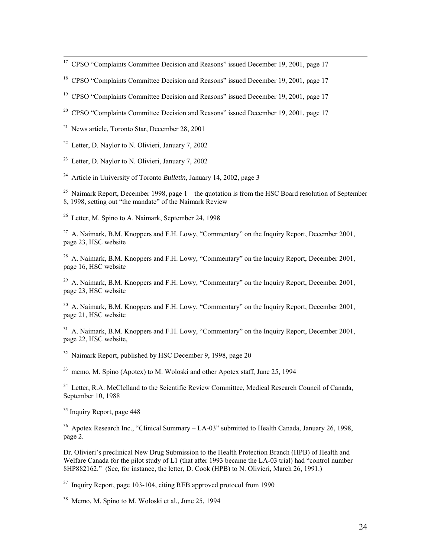$17$  CPSO "Complaints Committee Decision and Reasons" issued December 19, 2001, page 17

<sup>18</sup> CPSO "Complaints Committee Decision and Reasons" issued December 19, 2001, page 17

<sup>19</sup> CPSO "Complaints Committee Decision and Reasons" issued December 19, 2001, page 17

<sup>20</sup> CPSO "Complaints Committee Decision and Reasons" issued December 19, 2001, page 17

 $21$  News article, Toronto Star, December 28, 2001

<sup>22</sup> Letter, D. Naylor to N. Olivieri, January 7, 2002

 $23$  Letter, D. Naylor to N. Olivieri, January 7, 2002

24 Article in University of Toronto *Bulletin*, January 14, 2002, page 3

<sup>25</sup> Naimark Report, December 1998, page  $1 -$  the quotation is from the HSC Board resolution of September 8, 1998, setting out "the mandate" of the Naimark Review

<sup>26</sup> Letter, M. Spino to A. Naimark, September 24, 1998

 $27$  A. Naimark, B.M. Knoppers and F.H. Lowy, "Commentary" on the Inquiry Report, December 2001. page 23, HSC website

 $28$  A. Naimark, B.M. Knoppers and F.H. Lowy, "Commentary" on the Inquiry Report, December 2001, page 16, HSC website

<sup>29</sup> A. Naimark, B.M. Knoppers and F.H. Lowy, "Commentary" on the Inquiry Report, December 2001. page 23, HSC website

<sup>30</sup> A. Naimark, B.M. Knoppers and F.H. Lowy, "Commentary" on the Inquiry Report, December 2001. page 21, HSC website

 $31$  A. Naimark, B.M. Knoppers and F.H. Lowy, "Commentary" on the Inquiry Report, December 2001, page 22, HSC website,

 $32$  Naimark Report, published by HSC December 9, 1998, page 20

<sup>33</sup> memo, M. Spino (Apotex) to M. Woloski and other Apotex staff, June 25, 1994

<sup>34</sup> Letter, R.A. McClelland to the Scientific Review Committee, Medical Research Council of Canada, September 10, 1988

<sup>35</sup> Inquiry Report, page 448

<sup>36</sup> Apotex Research Inc., "Clinical Summary – LA-03" submitted to Health Canada, January 26, 1998, page 2.

Dr. Olivieri's preclinical New Drug Submission to the Health Protection Branch (HPB) of Health and Welfare Canada for the pilot study of L1 (that after 1993 became the LA-03 trial) had "control number 8HP882162." (See, for instance, the letter, D. Cook (HPB) to N. Olivieri, March 26, 1991.)

<sup>37</sup> Inquiry Report, page 103-104, citing REB approved protocol from 1990

<sup>38</sup> Memo, M. Spino to M. Woloski et al., June 25, 1994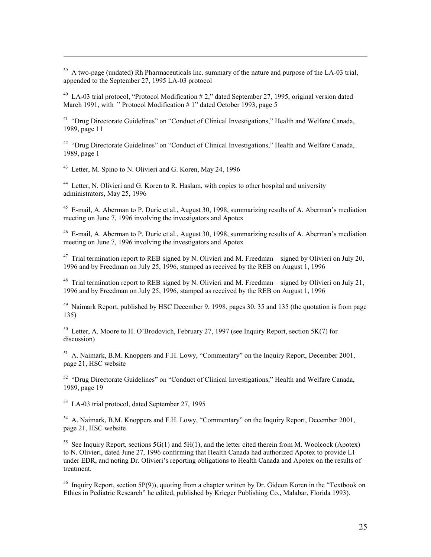<sup>39</sup> A two-page (undated) Rh Pharmaceuticals Inc. summary of the nature and purpose of the LA-03 trial, appended to the September 27, 1995 LA-03 protocol

<sup>40</sup> LA-03 trial protocol, "Protocol Modification #2," dated September 27, 1995, original version dated March 1991, with " Protocol Modification # 1" dated October 1993, page 5

<sup>41</sup> "Drug Directorate Guidelines" on "Conduct of Clinical Investigations," Health and Welfare Canada, 1989, page 11

<sup>42</sup> "Drug Directorate Guidelines" on "Conduct of Clinical Investigations," Health and Welfare Canada, 1989, page 1

<sup>43</sup> Letter, M. Spino to N. Olivieri and G. Koren, May 24, 1996

 $\overline{a}$ 

<sup>44</sup> Letter, N. Olivieri and G. Koren to R. Haslam, with copies to other hospital and university administrators, May 25, 1996

45 E-mail, A. Aberman to P. Durie et al., August 30, 1998, summarizing results of A. Aberman's mediation meeting on June 7, 1996 involving the investigators and Apotex

46 E-mail, A. Aberman to P. Durie et al., August 30, 1998, summarizing results of A. Aberman's mediation meeting on June 7, 1996 involving the investigators and Apotex

 $47$  Trial termination report to REB signed by N. Olivieri and M. Freedman – signed by Olivieri on July 20, 1996 and by Freedman on July 25, 1996, stamped as received by the REB on August 1, 1996

<sup>48</sup> Trial termination report to REB signed by N. Olivieri and M. Freedman – signed by Olivieri on July 21, 1996 and by Freedman on July 25, 1996, stamped as received by the REB on August 1, 1996

 $49$  Naimark Report, published by HSC December 9, 1998, pages 30, 35 and 135 (the quotation is from page) 135)

<sup>50</sup> Letter, A. Moore to H. O'Brodovich, February 27, 1997 (see Inquiry Report, section 5K(7) for discussion)

<sup>51</sup> A. Naimark, B.M. Knoppers and F.H. Lowy, "Commentary" on the Inquiry Report, December 2001, page 21, HSC website

 $52$  "Drug Directorate Guidelines" on "Conduct of Clinical Investigations," Health and Welfare Canada, 1989, page 19

53 LA-03 trial protocol, dated September 27, 1995

<sup>54</sup> A. Naimark, B.M. Knoppers and F.H. Lowy, "Commentary" on the Inquiry Report, December 2001, page 21, HSC website

<sup>55</sup> See Inquiry Report, sections  $5G(1)$  and  $5H(1)$ , and the letter cited therein from M. Woolcock (Apotex) to N. Olivieri, dated June 27, 1996 confirming that Health Canada had authorized Apotex to provide L1 under EDR, and noting Dr. Olivieri's reporting obligations to Health Canada and Apotex on the results of treatment.

<sup>56</sup> Inquiry Report, section 5P(9)), quoting from a chapter written by Dr. Gideon Koren in the "Textbook on Ethics in Pediatric Research" he edited, published by Krieger Publishing Co., Malabar, Florida 1993).